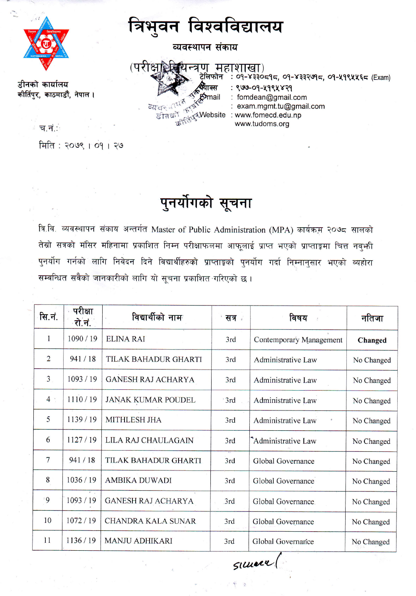डीनको कार्यालय

त्रिभुवन विश्वविद्यालय

व्यवस्थापन संकाय



: 09-४३३०८१८, 09-४३३२७१८, 09-५१९५५६८ (Exam) : ९७७-०१-५१९५४२१ fomdean@gmail.com exam.mgmt.tu@gmail.com ू<br><sub>दू</sub>≼Website : www.fomecd.edu.np www.tudoms.org

∈च.नं∴

कीर्तिपुर, काठमाडौँ, नेपाल ।

मिति : २०७९ । ०१ । २७

## पुनर्योगको सूचना

त्रि.वि. व्यवस्थापनं संकाय अन्तर्गत Master of Public Administration (MPA) कार्यक्रम २०७८ सालको तेस्रो सत्रको मंसिर महिनामा प्रकाशित निम्न परीक्षाफलमा आफूलाई प्राप्त भएको प्राप्ताङ्गमा चित्त नवुभी पुनर्योग गर्नको लागि निवेदन दिने विद्यार्थीहरुको प्राप्ताङ्को पुनर्योग गर्दा निम्नानुसार भएको व्यहोरा सम्वन्धित सवैको जानकारीको लागि यो सूचना प्रकाशित गरिएको छ।

| सि.नं.         | परीक्षा<br>∙रो.नं. | विद्यार्थीको नाम          | सत्र ।           | विषय                      | नतिजा      |
|----------------|--------------------|---------------------------|------------------|---------------------------|------------|
| 1              | 1090/19            | <b>ELINA RAI</b>          | 3rd              | Contemporary Management   | Changed    |
| $\overline{2}$ | 941/18             | TILAK BAHADUR GHARTI      | 3rd              | Administrative Law        | No Changed |
| $\overline{3}$ | 1093/19            | GANESH RAJ ACHARYA        | 3rd              | Administrative Law        | No Changed |
| 4:             | 1110/19            | <b>JANAK KUMAR POUDEL</b> | <sup>-</sup> 3rd | Administrative Law        | No Changed |
| 5              | 1139/19            | <b>MITHLESH JHA</b>       | 3rd              | <b>Administrative Law</b> | No Changed |
| 6              | 1127/19            | LILA RAJ CHAULAGAIN       | 3rd              | Administrative Law        | No Changed |
| $\overline{7}$ | 941/18             | TILAK BAHADUR GHARTI      | 3rd              | Global Governance         | No Changed |
| 8              | 1036/19            | <b>AMBIKA DUWADI</b>      | 3rd              | Global Governance         | No Changed |
| $\overline{9}$ | 1093/19            | <b>GANESH RAJ ACHARYA</b> | 3rd              | Global Governance         | No Changed |
| 10             | 1072/19            | <b>CHANDRA KALA SUNAR</b> | 3rd              | Global Governance         | No Changed |
| 11             | 1136/19            | <b>MANJU ADHIKARI</b>     | 3rd              | Global Governance         | No Changed |

SILLER